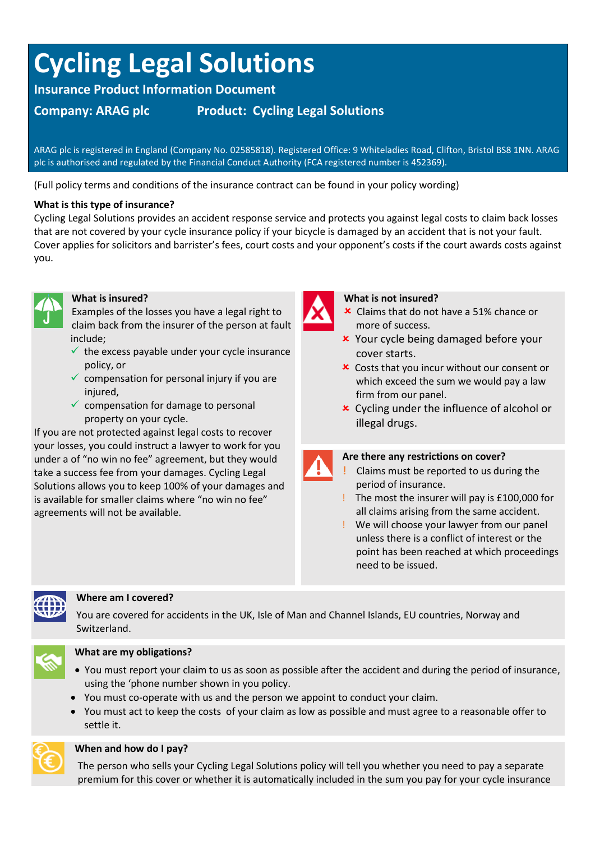# **Cycling Legal Solutions**

**Insurance Product Information Document**

# **Company: ARAG plc Product: Cycling Legal Solutions**

ARAG plc is registered in England (Company No. 02585818). Registered Office: 9 Whiteladies Road, Clifton, Bristol BS8 1NN. ARAG plc is authorised and regulated by the Financial Conduct Authority (FCA registered number is 452369).

(Full policy terms and conditions of the insurance contract can be found in your policy wording)

## **What is this type of insurance?**

Cycling Legal Solutions provides an accident response service and protects you against legal costs to claim back losses that are not covered by your cycle insurance policy if your bicycle is damaged by an accident that is not your fault. Cover applies for solicitors and barrister's fees, court costs and your opponent's costs if the court awards costs against you.



### **What is insured?**

Examples of the losses you have a legal right to claim back from the insurer of the person at fault include;

- $\checkmark$  the excess payable under your cycle insurance policy, or
- $\checkmark$  compensation for personal injury if you are injured.
- $\checkmark$  compensation for damage to personal property on your cycle.

If you are not protected against legal costs to recover your losses, you could instruct a lawyer to work for you under a of "no win no fee" agreement, but they would take a success fee from your damages. Cycling Legal Solutions allows you to keep 100% of your damages and is available for smaller claims where "no win no fee" agreements will not be available.



#### **What is not insured?**

- **x** Claims that do not have a 51% chance or more of success.
- Your cycle being damaged before your cover starts.
- Costs that you incur without our consent or which exceed the sum we would pay a law firm from our panel.
- Cycling under the influence of alcohol or illegal drugs.



### **Are there any restrictions on cover?**

- **!** Claims must be reported to us during the period of insurance.
- ! The most the insurer will pay is £100,000 for all claims arising from the same accident.
- ! We will choose your lawyer from our panel unless there is a conflict of interest or the point has been reached at which proceedings need to be issued.



### **Where am I covered?**

You are covered for accidents in the UK, Isle of Man and Channel Islands, EU countries, Norway and Switzerland.



# **What are my obligations?**

- You must report your claim to us as soon as possible after the accident and during the period of insurance, using the 'phone number shown in you policy.
- You must co-operate with us and the person we appoint to conduct your claim.
- You must act to keep the costs of your claim as low as possible and must agree to a reasonable offer to settle it.



### **When and how do I pay?**

The person who sells your Cycling Legal Solutions policy will tell you whether you need to pay a separate premium for this cover or whether it is automatically included in the sum you pay for your cycle insurance